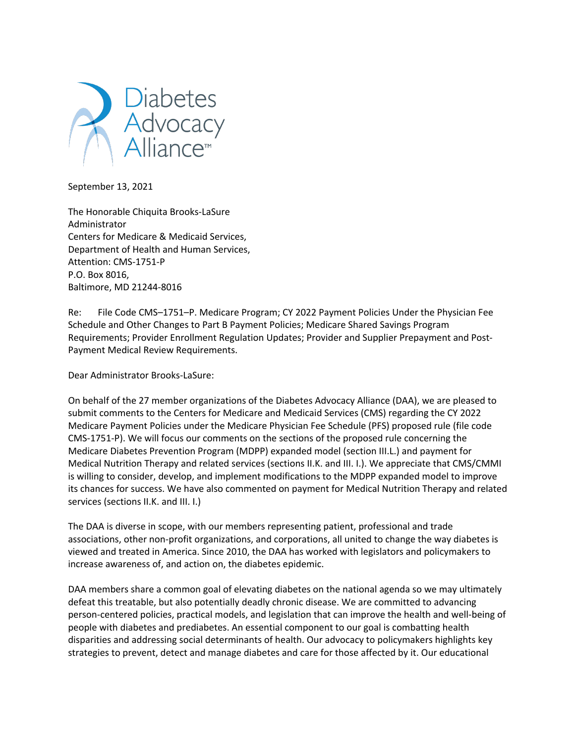

September 13, 2021

The Honorable Chiquita Brooks-LaSure Administrator Centers for Medicare & Medicaid Services, Department of Health and Human Services, Attention: CMS-1751-P P.O. Box 8016, Baltimore, MD 21244-8016

Re: File Code CMS–1751–P. Medicare Program; CY 2022 Payment Policies Under the Physician Fee Schedule and Other Changes to Part B Payment Policies; Medicare Shared Savings Program Requirements; Provider Enrollment Regulation Updates; Provider and Supplier Prepayment and Post-Payment Medical Review Requirements.

Dear Administrator Brooks-LaSure:

On behalf of the 27 member organizations of the Diabetes Advocacy Alliance (DAA), we are pleased to submit comments to the Centers for Medicare and Medicaid Services (CMS) regarding the CY 2022 Medicare Payment Policies under the Medicare Physician Fee Schedule (PFS) proposed rule (file code CMS-1751-P). We will focus our comments on the sections of the proposed rule concerning the Medicare Diabetes Prevention Program (MDPP) expanded model (section III.L.) and payment for Medical Nutrition Therapy and related services (sections II.K. and III. I.). We appreciate that CMS/CMMI is willing to consider, develop, and implement modifications to the MDPP expanded model to improve its chances for success. We have also commented on payment for Medical Nutrition Therapy and related services (sections II.K. and III. I.)

The DAA is diverse in scope, with our members representing patient, professional and trade associations, other non-profit organizations, and corporations, all united to change the way diabetes is viewed and treated in America. Since 2010, the DAA has worked with legislators and policymakers to increase awareness of, and action on, the diabetes epidemic.

DAA members share a common goal of elevating diabetes on the national agenda so we may ultimately defeat this treatable, but also potentially deadly chronic disease. We are committed to advancing person-centered policies, practical models, and legislation that can improve the health and well-being of people with diabetes and prediabetes. An essential component to our goal is combatting health disparities and addressing social determinants of health. Our advocacy to policymakers highlights key strategies to prevent, detect and manage diabetes and care for those affected by it. Our educational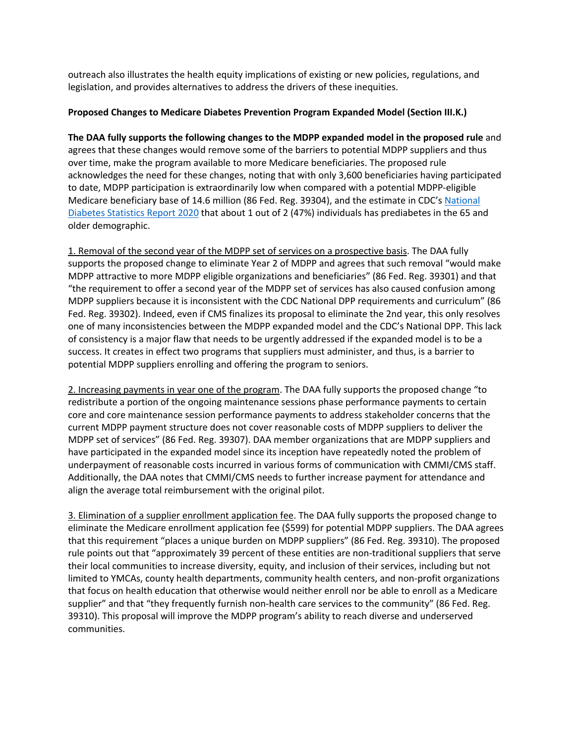outreach also illustrates the health equity implications of existing or new policies, regulations, and legislation, and provides alternatives to address the drivers of these inequities.

## **Proposed Changes to Medicare Diabetes Prevention Program Expanded Model (Section III.K.)**

**The DAA fully supports the following changes to the MDPP expanded model in the proposed rule** and agrees that these changes would remove some of the barriers to potential MDPP suppliers and thus over time, make the program available to more Medicare beneficiaries. The proposed rule acknowledges the need for these changes, noting that with only 3,600 beneficiaries having participated to date, MDPP participation is extraordinarily low when compared with a potential MDPP-eligible Medicare beneficiary base of 14.6 million (86 Fed. Reg. 39304), and the estimate in CDC's National Diabetes Statistics Report 2020 that about 1 out of 2 (47%) individuals has prediabetes in the 65 and older demographic.

1. Removal of the second year of the MDPP set of services on a prospective basis. The DAA fully supports the proposed change to eliminate Year 2 of MDPP and agrees that such removal "would make MDPP attractive to more MDPP eligible organizations and beneficiaries" (86 Fed. Reg. 39301) and that "the requirement to offer a second year of the MDPP set of services has also caused confusion among MDPP suppliers because it is inconsistent with the CDC National DPP requirements and curriculum" (86 Fed. Reg. 39302). Indeed, even if CMS finalizes its proposal to eliminate the 2nd year, this only resolves one of many inconsistencies between the MDPP expanded model and the CDC's National DPP. This lack of consistency is a major flaw that needs to be urgently addressed if the expanded model is to be a success. It creates in effect two programs that suppliers must administer, and thus, is a barrier to potential MDPP suppliers enrolling and offering the program to seniors.

2. Increasing payments in year one of the program. The DAA fully supports the proposed change "to redistribute a portion of the ongoing maintenance sessions phase performance payments to certain core and core maintenance session performance payments to address stakeholder concerns that the current MDPP payment structure does not cover reasonable costs of MDPP suppliers to deliver the MDPP set of services" (86 Fed. Reg. 39307). DAA member organizations that are MDPP suppliers and have participated in the expanded model since its inception have repeatedly noted the problem of underpayment of reasonable costs incurred in various forms of communication with CMMI/CMS staff. Additionally, the DAA notes that CMMI/CMS needs to further increase payment for attendance and align the average total reimbursement with the original pilot.

3. Elimination of a supplier enrollment application fee. The DAA fully supports the proposed change to eliminate the Medicare enrollment application fee (\$599) for potential MDPP suppliers. The DAA agrees that this requirement "places a unique burden on MDPP suppliers" (86 Fed. Reg. 39310). The proposed rule points out that "approximately 39 percent of these entities are non-traditional suppliers that serve their local communities to increase diversity, equity, and inclusion of their services, including but not limited to YMCAs, county health departments, community health centers, and non-profit organizations that focus on health education that otherwise would neither enroll nor be able to enroll as a Medicare supplier" and that "they frequently furnish non-health care services to the community" (86 Fed. Reg. 39310). This proposal will improve the MDPP program's ability to reach diverse and underserved communities.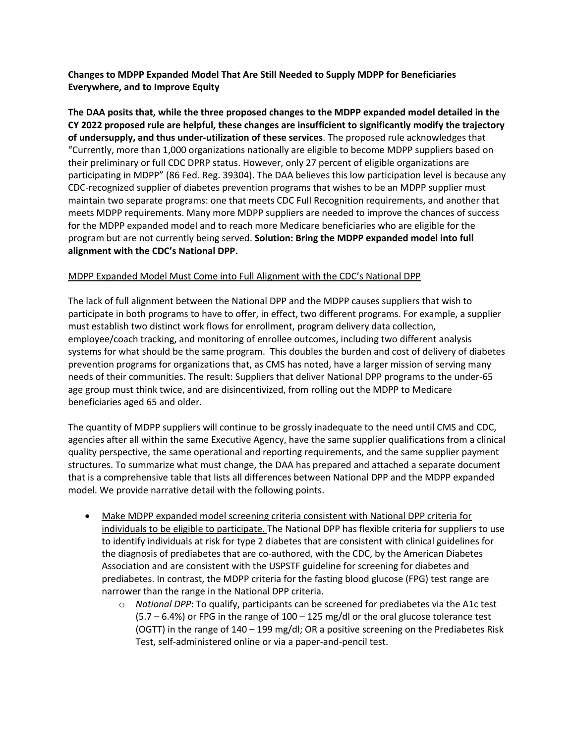**Changes to MDPP Expanded Model That Are Still Needed to Supply MDPP for Beneficiaries Everywhere, and to Improve Equity**

**The DAA posits that, while the three proposed changes to the MDPP expanded model detailed in the CY 2022 proposed rule are helpful, these changes are insufficient to significantly modify the trajectory of undersupply, and thus under-utilization of these services**. The proposed rule acknowledges that "Currently, more than 1,000 organizations nationally are eligible to become MDPP suppliers based on their preliminary or full CDC DPRP status. However, only 27 percent of eligible organizations are participating in MDPP" (86 Fed. Reg. 39304). The DAA believes this low participation level is because any CDC-recognized supplier of diabetes prevention programs that wishes to be an MDPP supplier must maintain two separate programs: one that meets CDC Full Recognition requirements, and another that meets MDPP requirements. Many more MDPP suppliers are needed to improve the chances of success for the MDPP expanded model and to reach more Medicare beneficiaries who are eligible for the program but are not currently being served. **Solution: Bring the MDPP expanded model into full alignment with the CDC's National DPP.**

# MDPP Expanded Model Must Come into Full Alignment with the CDC's National DPP

The lack of full alignment between the National DPP and the MDPP causes suppliers that wish to participate in both programs to have to offer, in effect, two different programs. For example, a supplier must establish two distinct work flows for enrollment, program delivery data collection, employee/coach tracking, and monitoring of enrollee outcomes, including two different analysis systems for what should be the same program. This doubles the burden and cost of delivery of diabetes prevention programs for organizations that, as CMS has noted, have a larger mission of serving many needs of their communities. The result: Suppliers that deliver National DPP programs to the under-65 age group must think twice, and are disincentivized, from rolling out the MDPP to Medicare beneficiaries aged 65 and older.

The quantity of MDPP suppliers will continue to be grossly inadequate to the need until CMS and CDC, agencies after all within the same Executive Agency, have the same supplier qualifications from a clinical quality perspective, the same operational and reporting requirements, and the same supplier payment structures. To summarize what must change, the DAA has prepared and attached a separate document that is a comprehensive table that lists all differences between National DPP and the MDPP expanded model. We provide narrative detail with the following points.

- Make MDPP expanded model screening criteria consistent with National DPP criteria for individuals to be eligible to participate. The National DPP has flexible criteria for suppliers to use to identify individuals at risk for type 2 diabetes that are consistent with clinical guidelines for the diagnosis of prediabetes that are co-authored, with the CDC, by the American Diabetes Association and are consistent with the USPSTF guideline for screening for diabetes and prediabetes. In contrast, the MDPP criteria for the fasting blood glucose (FPG) test range are narrower than the range in the National DPP criteria.
	- o *National DPP*: To qualify, participants can be screened for prediabetes via the A1c test  $(5.7 - 6.4%)$  or FPG in the range of  $100 - 125$  mg/dl or the oral glucose tolerance test (OGTT) in the range of 140 – 199 mg/dl; OR a positive screening on the Prediabetes Risk Test, self-administered online or via a paper-and-pencil test.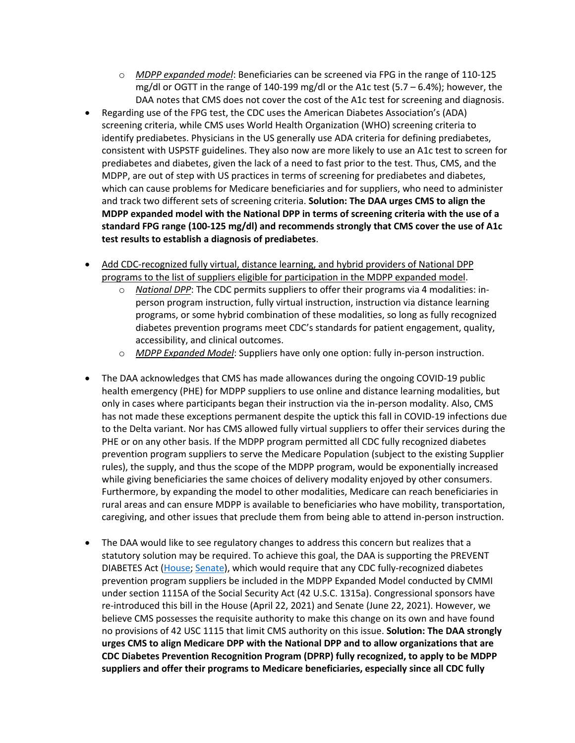- o *MDPP expanded model*: Beneficiaries can be screened via FPG in the range of 110-125 mg/dl or OGTT in the range of 140-199 mg/dl or the A1c test  $(5.7 - 6.4%)$ ; however, the DAA notes that CMS does not cover the cost of the A1c test for screening and diagnosis.
- Regarding use of the FPG test, the CDC uses the American Diabetes Association's (ADA) screening criteria, while CMS uses World Health Organization (WHO) screening criteria to identify prediabetes. Physicians in the US generally use ADA criteria for defining prediabetes, consistent with USPSTF guidelines. They also now are more likely to use an A1c test to screen for prediabetes and diabetes, given the lack of a need to fast prior to the test. Thus, CMS, and the MDPP, are out of step with US practices in terms of screening for prediabetes and diabetes, which can cause problems for Medicare beneficiaries and for suppliers, who need to administer and track two different sets of screening criteria. **Solution: The DAA urges CMS to align the MDPP expanded model with the National DPP in terms of screening criteria with the use of a standard FPG range (100-125 mg/dl) and recommends strongly that CMS cover the use of A1c test results to establish a diagnosis of prediabetes**.
- Add CDC-recognized fully virtual, distance learning, and hybrid providers of National DPP programs to the list of suppliers eligible for participation in the MDPP expanded model.
	- o *National DPP*: The CDC permits suppliers to offer their programs via 4 modalities: inperson program instruction, fully virtual instruction, instruction via distance learning programs, or some hybrid combination of these modalities, so long as fully recognized diabetes prevention programs meet CDC's standards for patient engagement, quality, accessibility, and clinical outcomes.
	- o *MDPP Expanded Model*: Suppliers have only one option: fully in-person instruction.
- The DAA acknowledges that CMS has made allowances during the ongoing COVID-19 public health emergency (PHE) for MDPP suppliers to use online and distance learning modalities, but only in cases where participants began their instruction via the in-person modality. Also, CMS has not made these exceptions permanent despite the uptick this fall in COVID-19 infections due to the Delta variant. Nor has CMS allowed fully virtual suppliers to offer their services during the PHE or on any other basis. If the MDPP program permitted all CDC fully recognized diabetes prevention program suppliers to serve the Medicare Population (subject to the existing Supplier rules), the supply, and thus the scope of the MDPP program, would be exponentially increased while giving beneficiaries the same choices of delivery modality enjoyed by other consumers. Furthermore, by expanding the model to other modalities, Medicare can reach beneficiaries in rural areas and can ensure MDPP is available to beneficiaries who have mobility, transportation, caregiving, and other issues that preclude them from being able to attend in-person instruction.
- The DAA would like to see regulatory changes to address this concern but realizes that a statutory solution may be required. To achieve this goal, the DAA is supporting the PREVENT DIABETES Act (House; Senate), which would require that any CDC fully-recognized diabetes prevention program suppliers be included in the MDPP Expanded Model conducted by CMMI under section 1115A of the Social Security Act (42 U.S.C. 1315a). Congressional sponsors have re-introduced this bill in the House (April 22, 2021) and Senate (June 22, 2021). However, we believe CMS possesses the requisite authority to make this change on its own and have found no provisions of 42 USC 1115 that limit CMS authority on this issue. **Solution: The DAA strongly urges CMS to align Medicare DPP with the National DPP and to allow organizations that are CDC Diabetes Prevention Recognition Program (DPRP) fully recognized, to apply to be MDPP suppliers and offer their programs to Medicare beneficiaries, especially since all CDC fully**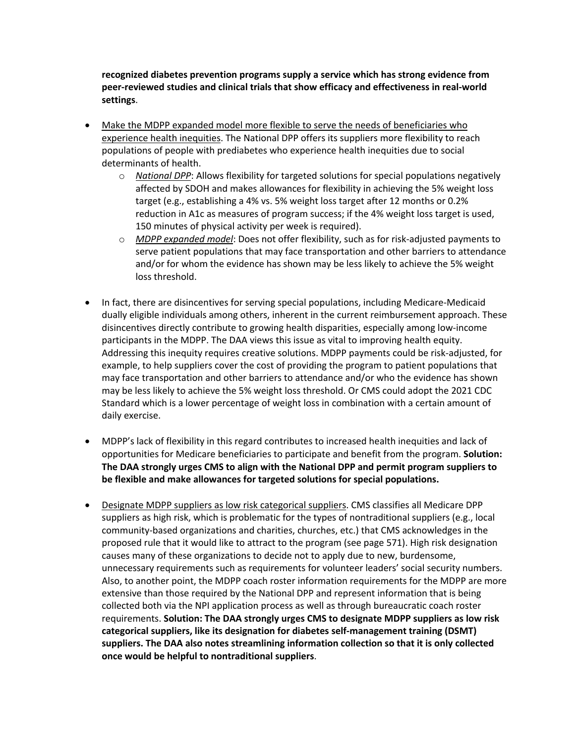**recognized diabetes prevention programs supply a service which has strong evidence from peer-reviewed studies and clinical trials that show efficacy and effectiveness in real-world settings**.

- Make the MDPP expanded model more flexible to serve the needs of beneficiaries who experience health inequities. The National DPP offers its suppliers more flexibility to reach populations of people with prediabetes who experience health inequities due to social determinants of health.
	- o *National DPP*: Allows flexibility for targeted solutions for special populations negatively affected by SDOH and makes allowances for flexibility in achieving the 5% weight loss target (e.g., establishing a 4% vs. 5% weight loss target after 12 months or 0.2% reduction in A1c as measures of program success; if the 4% weight loss target is used, 150 minutes of physical activity per week is required).
	- o *MDPP expanded model*: Does not offer flexibility, such as for risk-adjusted payments to serve patient populations that may face transportation and other barriers to attendance and/or for whom the evidence has shown may be less likely to achieve the 5% weight loss threshold.
- In fact, there are disincentives for serving special populations, including Medicare-Medicaid dually eligible individuals among others, inherent in the current reimbursement approach. These disincentives directly contribute to growing health disparities, especially among low-income participants in the MDPP. The DAA views this issue as vital to improving health equity. Addressing this inequity requires creative solutions. MDPP payments could be risk-adjusted, for example, to help suppliers cover the cost of providing the program to patient populations that may face transportation and other barriers to attendance and/or who the evidence has shown may be less likely to achieve the 5% weight loss threshold. Or CMS could adopt the 2021 CDC Standard which is a lower percentage of weight loss in combination with a certain amount of daily exercise.
- MDPP's lack of flexibility in this regard contributes to increased health inequities and lack of opportunities for Medicare beneficiaries to participate and benefit from the program. **Solution: The DAA strongly urges CMS to align with the National DPP and permit program suppliers to be flexible and make allowances for targeted solutions for special populations.**
- Designate MDPP suppliers as low risk categorical suppliers. CMS classifies all Medicare DPP suppliers as high risk, which is problematic for the types of nontraditional suppliers (e.g., local community-based organizations and charities, churches, etc.) that CMS acknowledges in the proposed rule that it would like to attract to the program (see page 571). High risk designation causes many of these organizations to decide not to apply due to new, burdensome, unnecessary requirements such as requirements for volunteer leaders' social security numbers. Also, to another point, the MDPP coach roster information requirements for the MDPP are more extensive than those required by the National DPP and represent information that is being collected both via the NPI application process as well as through bureaucratic coach roster requirements. **Solution: The DAA strongly urges CMS to designate MDPP suppliers as low risk categorical suppliers, like its designation for diabetes self-management training (DSMT) suppliers. The DAA also notes streamlining information collection so that it is only collected once would be helpful to nontraditional suppliers**.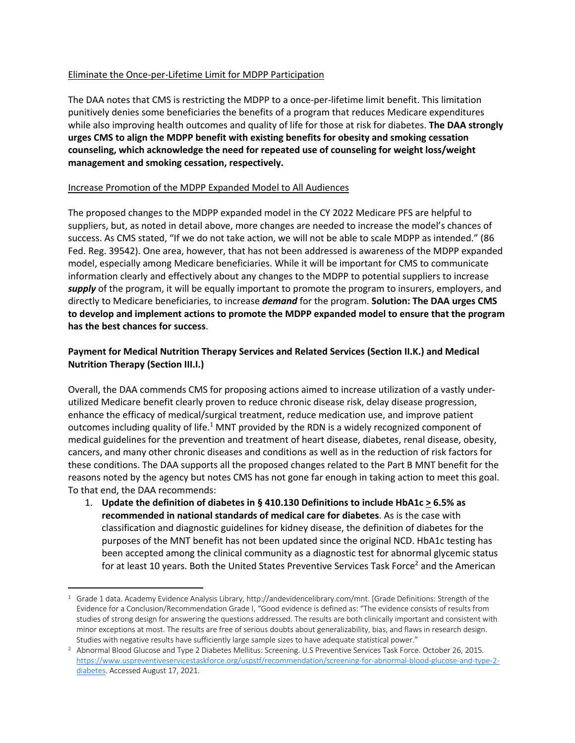## Eliminate the Once-per-Lifetime Limit for MDPP Participation

The DAA notes that CMS is restricting the MDPP to a once-per-lifetime limit benefit. This limitation punitively denies some beneficiaries the benefits of a program that reduces Medicare expenditures while also improving health outcomes and quality of life for those at risk for diabetes. **The DAA strongly urges CMS to align the MDPP benefit with existing benefits for obesity and smoking cessation counseling, which acknowledge the need for repeated use of counseling for weight loss/weight management and smoking cessation, respectively.**

## Increase Promotion of the MDPP Expanded Model to All Audiences

The proposed changes to the MDPP expanded model in the CY 2022 Medicare PFS are helpful to suppliers, but, as noted in detail above, more changes are needed to increase the model's chances of success. As CMS stated, "If we do not take action, we will not be able to scale MDPP as intended." (86 Fed. Reg. 39542). One area, however, that has not been addressed is awareness of the MDPP expanded model, especially among Medicare beneficiaries. While it will be important for CMS to communicate information clearly and effectively about any changes to the MDPP to potential suppliers to increase *supply* of the program, it will be equally important to promote the program to insurers, employers, and directly to Medicare beneficiaries, to increase *demand* for the program. **Solution: The DAA urges CMS to develop and implement actions to promote the MDPP expanded model to ensure that the program has the best chances for success**.

# **Payment for Medical Nutrition Therapy Services and Related Services (Section II.K.) and Medical Nutrition Therapy (Section III.I.)**

Overall, the DAA commends CMS for proposing actions aimed to increase utilization of a vastly underutilized Medicare benefit clearly proven to reduce chronic disease risk, delay disease progression, enhance the efficacy of medical/surgical treatment, reduce medication use, and improve patient outcomes including quality of life.1 MNT provided by the RDN is a widely recognized component of medical guidelines for the prevention and treatment of heart disease, diabetes, renal disease, obesity, cancers, and many other chronic diseases and conditions as well as in the reduction of risk factors for these conditions. The DAA supports all the proposed changes related to the Part B MNT benefit for the reasons noted by the agency but notes CMS has not gone far enough in taking action to meet this goal. To that end, the DAA recommends:

1. **Update the definition of diabetes in § 410.130 Definitions to include HbA1c > 6.5% as recommended in national standards of medical care for diabetes**. As is the case with classification and diagnostic guidelines for kidney disease, the definition of diabetes for the purposes of the MNT benefit has not been updated since the original NCD. HbA1c testing has been accepted among the clinical community as a diagnostic test for abnormal glycemic status for at least 10 years. Both the United States Preventive Services Task Force<sup>2</sup> and the American

<sup>1</sup> Grade 1 data. Academy Evidence Analysis Library, http://andevidencelibrary.com/mnt. [Grade Definitions: Strength of the Evidence for a Conclusion/Recommendation Grade I, "Good evidence is defined as: "The evidence consists of results from studies of strong design for answering the questions addressed. The results are both clinically important and consistent with minor exceptions at most. The results are free of serious doubts about generalizability, bias, and flaws in research design.

Studies with negative results have sufficiently large sample sizes to have adequate statistical power." 2 Abnormal Blood Glucose and Type 2 Diabetes Mellitus: Screening. U.S Preventive Services Task Force. October 26, 2015. https://www.uspreventiveservicestaskforce.org/uspstf/recommendation/screening-for-abnormal-blood-glucose-and-type-2 diabetes. Accessed August 17, 2021.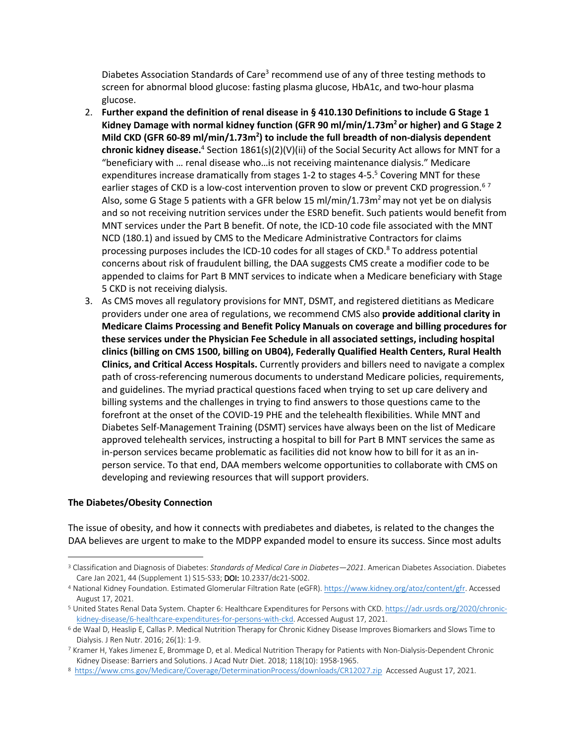Diabetes Association Standards of Care<sup>3</sup> recommend use of any of three testing methods to screen for abnormal blood glucose: fasting plasma glucose, HbA1c, and two-hour plasma glucose.

- 2. **Further expand the definition of renal disease in § 410.130 Definitions to include G Stage 1**  Kidney Damage with normal kidney function (GFR 90 ml/min/1.73m<sup>2</sup> or higher) and G Stage 2 Mild CKD (GFR 60-89 ml/min/1.73m<sup>2</sup>) to include the full breadth of non-dialysis dependent **chronic kidney disease.**<sup>4</sup> Section 1861(s)(2)(V)(ii) of the Social Security Act allows for MNT for a "beneficiary with … renal disease who…is not receiving maintenance dialysis." Medicare expenditures increase dramatically from stages 1-2 to stages 4-5.<sup>5</sup> Covering MNT for these earlier stages of CKD is a low-cost intervention proven to slow or prevent CKD progression.<sup>67</sup> Also, some G Stage 5 patients with a GFR below 15 ml/min/1.73m<sup>2</sup> may not yet be on dialysis and so not receiving nutrition services under the ESRD benefit. Such patients would benefit from MNT services under the Part B benefit. Of note, the ICD-10 code file associated with the MNT NCD (180.1) and issued by CMS to the Medicare Administrative Contractors for claims processing purposes includes the ICD-10 codes for all stages of CKD.<sup>8</sup> To address potential concerns about risk of fraudulent billing, the DAA suggests CMS create a modifier code to be appended to claims for Part B MNT services to indicate when a Medicare beneficiary with Stage 5 CKD is not receiving dialysis.
- 3. As CMS moves all regulatory provisions for MNT, DSMT, and registered dietitians as Medicare providers under one area of regulations, we recommend CMS also **provide additional clarity in Medicare Claims Processing and Benefit Policy Manuals on coverage and billing procedures for these services under the Physician Fee Schedule in all associated settings, including hospital clinics (billing on CMS 1500, billing on UB04), Federally Qualified Health Centers, Rural Health Clinics, and Critical Access Hospitals.** Currently providers and billers need to navigate a complex path of cross-referencing numerous documents to understand Medicare policies, requirements, and guidelines. The myriad practical questions faced when trying to set up care delivery and billing systems and the challenges in trying to find answers to those questions came to the forefront at the onset of the COVID-19 PHE and the telehealth flexibilities. While MNT and Diabetes Self-Management Training (DSMT) services have always been on the list of Medicare approved telehealth services, instructing a hospital to bill for Part B MNT services the same as in-person services became problematic as facilities did not know how to bill for it as an inperson service. To that end, DAA members welcome opportunities to collaborate with CMS on developing and reviewing resources that will support providers.

#### **The Diabetes/Obesity Connection**

The issue of obesity, and how it connects with prediabetes and diabetes, is related to the changes the DAA believes are urgent to make to the MDPP expanded model to ensure its success. Since most adults

<sup>3</sup> Classification and Diagnosis of Diabetes: *Standards of Medical Care in Diabetes—2021*. American Diabetes Association. Diabetes Care Jan 2021, 44 (Supplement 1) S15-S33; DOI: 10.2337/dc21-S002.

<sup>4</sup> National Kidney Foundation. Estimated Glomerular Filtration Rate (eGFR). https://www.kidney.org/atoz/content/gfr. Accessed August 17, 2021.

<sup>5</sup> United States Renal Data System. Chapter 6: Healthcare Expenditures for Persons with CKD. https://adr.usrds.org/2020/chronickidney-disease/6-healthcare-expenditures-for-persons-with-ckd. Accessed August 17, 2021.

<sup>6</sup> de Waal D, Heaslip E, Callas P. Medical Nutrition Therapy for Chronic Kidney Disease Improves Biomarkers and Slows Time to Dialysis. J Ren Nutr. 2016; 26(1): 1-9.

<sup>7</sup> Kramer H, Yakes Jimenez E, Brommage D, et al. Medical Nutrition Therapy for Patients with Non-Dialysis-Dependent Chronic Kidney Disease: Barriers and Solutions. J Acad Nutr Diet. 2018; 118(10): 1958-1965.

<sup>8</sup> https://www.cms.gov/Medicare/Coverage/DeterminationProcess/downloads/CR12027.zip Accessed August 17, 2021.